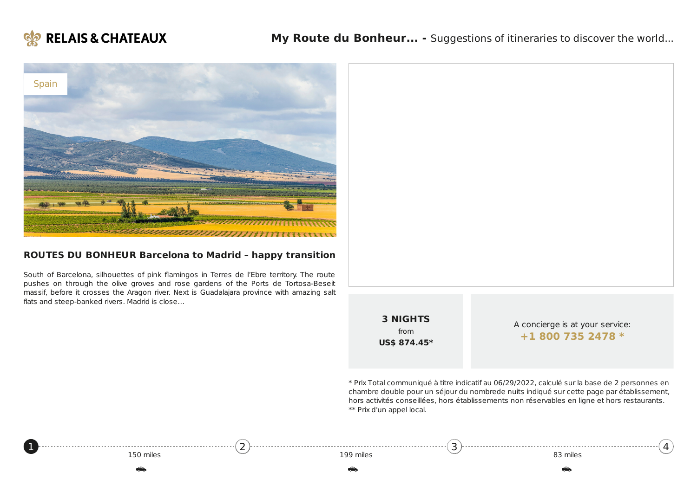



### **ROUTES DU BONHEUR Barcelona to Madrid – happy transition**

South of Barcelona, silhouettes of pink flamingos in Terres de l'Ebre territory. The route pushes on through the olive groves and rose gardens of the Ports de Tortosa-Beseit massif, before it crosses the Aragon river. Next is Guadalajara province with amazing salt flats and steep-banked rivers. Madrid is close…

[2](#page-1-0)



\* Prix Total communiqué à titre indicatif au 06/29/2022, calculé sur la base de 2 personnes en chambre double pour un séjour du nombrede nuits indiqué sur cette page par établissement, hors activités conseillées, hors établissements non réservables en ligne et hors restaurants. \*\* Prix d'un appel local.

[3](#page-2-0)

|  | 150 miles |
|--|-----------|
|  |           |

<span id="page-0-0"></span>[1](#page-0-0)

4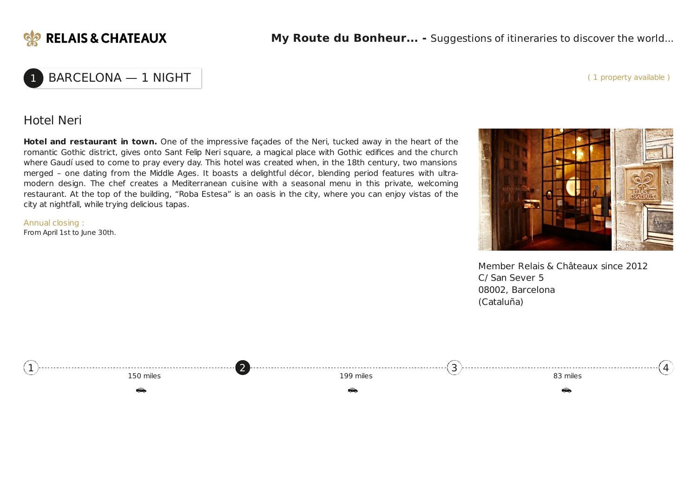

## BARCELONA - 1 NIGHT

( 1 property available )

### Hotel Neri

**Hotel and restaurant in town.** One of the impressive façades of the Neri, tucked away in the heart of the romantic Gothic district, gives onto Sant Felip Neri square, a magical place with Gothic edifices and the church where Gaudí used to come to pray every day. This hotel was created when, in the 18th century, two mansions merged – one dating from the Middle Ages. It boasts a delightful décor, blending period features with ultramodern design. The chef creates a Mediterranean cuisine with a seasonal menu in this private, welcoming restaurant. At the top of the building, "Roba Estesa" is an oasis in the city, where you can enjoy vistas of the city at nightfall, while trying delicious tapas.

Annual closing : From April 1st to June 30th.



Member Relais & Châteaux since 2012 C/ San Sever 5 08002, Barcelona (Cataluña)

<span id="page-1-0"></span>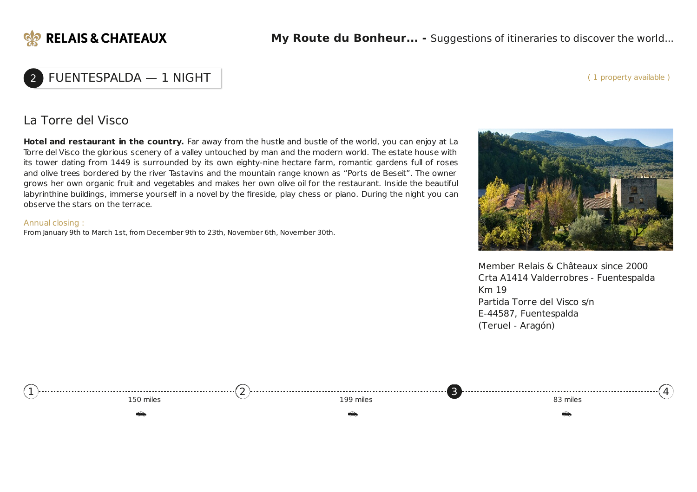

#### ( 1 property available )

## 2 FUENTESPALDA — 1 NIGHT

### La Torre del Visco

**Hotel and restaurant in the country.** Far away from the hustle and bustle of the world, you can enjoy at La Torre del Visco the glorious scenery of a valley untouched by man and the modern world. The estate house with its tower dating from 1449 is surrounded by its own eighty-nine hectare farm, romantic gardens full of roses and olive trees bordered by the river Tastavins and the mountain range known as "Ports de Beseit". The owner grows her own organic fruit and vegetables and makes her own olive oil for the restaurant. Inside the beautiful labyrinthine buildings, immerse yourself in a novel by the fireside, play chess or piano. During the night you can observe the stars on the terrace.

#### Annual closing :

From January 9th to March 1st, from December 9th to 23th, November 6th, November 30th.



Member Relais & Châteaux since 2000 Crta A1414 Valderrobres - Fuentespalda Km 19 Partida Torre del Visco s/n E-44587, Fuentespalda (Teruel - Aragón)

<span id="page-2-0"></span>